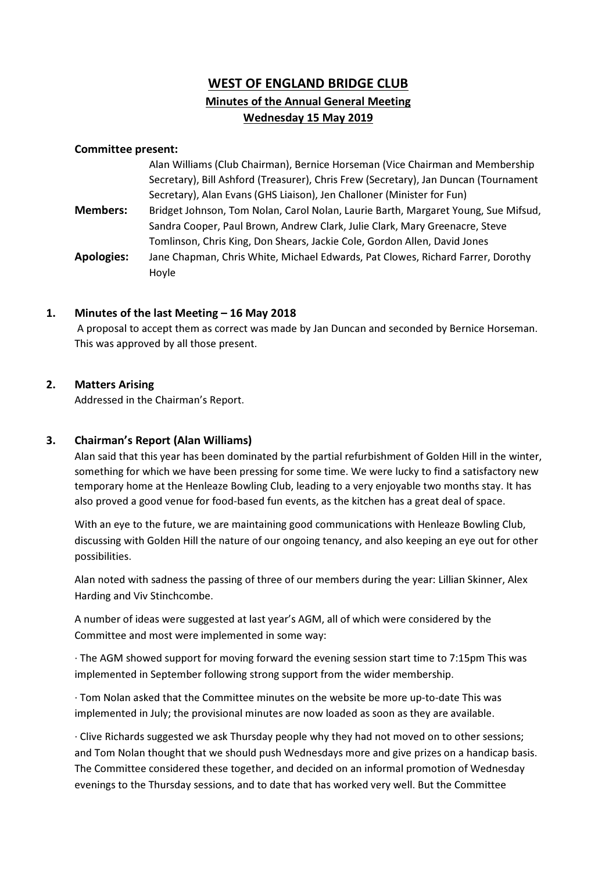# WEST OF ENGLAND BRIDGE CLUB Minutes of the Annual General Meeting Wednesday 15 May 2019

## Committee present:

Alan Williams (Club Chairman), Bernice Horseman (Vice Chairman and Membership Secretary), Bill Ashford (Treasurer), Chris Frew (Secretary), Jan Duncan (Tournament Secretary), Alan Evans (GHS Liaison), Jen Challoner (Minister for Fun)

- Members: Bridget Johnson, Tom Nolan, Carol Nolan, Laurie Barth, Margaret Young, Sue Mifsud, Sandra Cooper, Paul Brown, Andrew Clark, Julie Clark, Mary Greenacre, Steve Tomlinson, Chris King, Don Shears, Jackie Cole, Gordon Allen, David Jones
- Apologies: Jane Chapman, Chris White, Michael Edwards, Pat Clowes, Richard Farrer, Dorothy Hoyle

### 1. Minutes of the last Meeting – 16 May 2018

 A proposal to accept them as correct was made by Jan Duncan and seconded by Bernice Horseman. This was approved by all those present.

### 2. Matters Arising

Addressed in the Chairman's Report.

## 3. Chairman's Report (Alan Williams)

Alan said that this year has been dominated by the partial refurbishment of Golden Hill in the winter, something for which we have been pressing for some time. We were lucky to find a satisfactory new temporary home at the Henleaze Bowling Club, leading to a very enjoyable two months stay. It has also proved a good venue for food-based fun events, as the kitchen has a great deal of space.

With an eye to the future, we are maintaining good communications with Henleaze Bowling Club, discussing with Golden Hill the nature of our ongoing tenancy, and also keeping an eye out for other possibilities.

Alan noted with sadness the passing of three of our members during the year: Lillian Skinner, Alex Harding and Viv Stinchcombe.

A number of ideas were suggested at last year's AGM, all of which were considered by the Committee and most were implemented in some way:

· The AGM showed support for moving forward the evening session start time to 7:15pm This was implemented in September following strong support from the wider membership.

· Tom Nolan asked that the Committee minutes on the website be more up-to-date This was implemented in July; the provisional minutes are now loaded as soon as they are available.

· Clive Richards suggested we ask Thursday people why they had not moved on to other sessions; and Tom Nolan thought that we should push Wednesdays more and give prizes on a handicap basis. The Committee considered these together, and decided on an informal promotion of Wednesday evenings to the Thursday sessions, and to date that has worked very well. But the Committee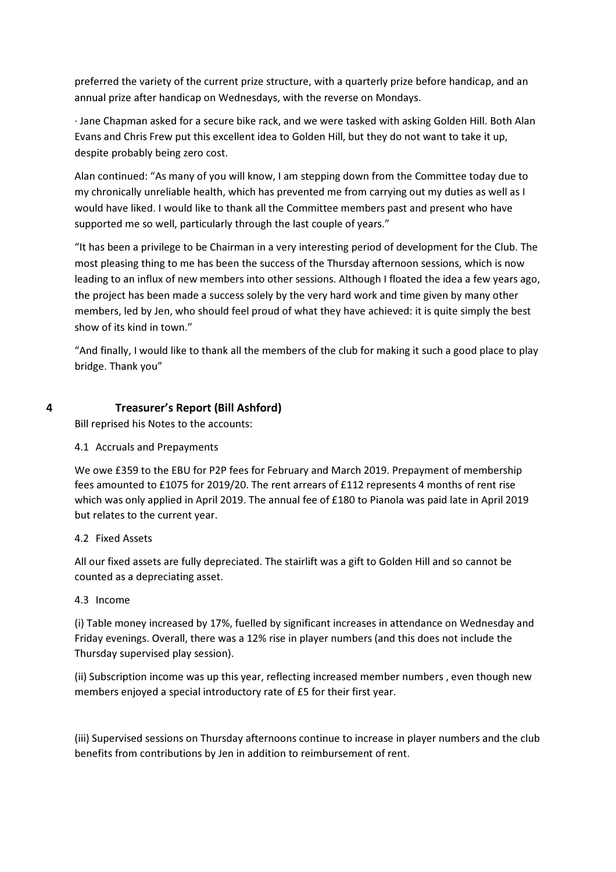preferred the variety of the current prize structure, with a quarterly prize before handicap, and an annual prize after handicap on Wednesdays, with the reverse on Mondays.

· Jane Chapman asked for a secure bike rack, and we were tasked with asking Golden Hill. Both Alan Evans and Chris Frew put this excellent idea to Golden Hill, but they do not want to take it up, despite probably being zero cost.

Alan continued: "As many of you will know, I am stepping down from the Committee today due to my chronically unreliable health, which has prevented me from carrying out my duties as well as I would have liked. I would like to thank all the Committee members past and present who have supported me so well, particularly through the last couple of years."

"It has been a privilege to be Chairman in a very interesting period of development for the Club. The most pleasing thing to me has been the success of the Thursday afternoon sessions, which is now leading to an influx of new members into other sessions. Although I floated the idea a few years ago, the project has been made a success solely by the very hard work and time given by many other members, led by Jen, who should feel proud of what they have achieved: it is quite simply the best show of its kind in town."

"And finally, I would like to thank all the members of the club for making it such a good place to play bridge. Thank you"

# 4 Treasurer's Report (Bill Ashford)

Bill reprised his Notes to the accounts:

#### 4.1 Accruals and Prepayments

We owe £359 to the EBU for P2P fees for February and March 2019. Prepayment of membership fees amounted to £1075 for 2019/20. The rent arrears of £112 represents 4 months of rent rise which was only applied in April 2019. The annual fee of £180 to Pianola was paid late in April 2019 but relates to the current year.

#### 4.2 Fixed Assets

All our fixed assets are fully depreciated. The stairlift was a gift to Golden Hill and so cannot be counted as a depreciating asset.

#### 4.3 Income

 (i) Table money increased by 17%, fuelled by significant increases in attendance on Wednesday and Friday evenings. Overall, there was a 12% rise in player numbers (and this does not include the Thursday supervised play session).

 (ii) Subscription income was up this year, reflecting increased member numbers , even though new members enjoyed a special introductory rate of £5 for their first year.

 (iii) Supervised sessions on Thursday afternoons continue to increase in player numbers and the club benefits from contributions by Jen in addition to reimbursement of rent.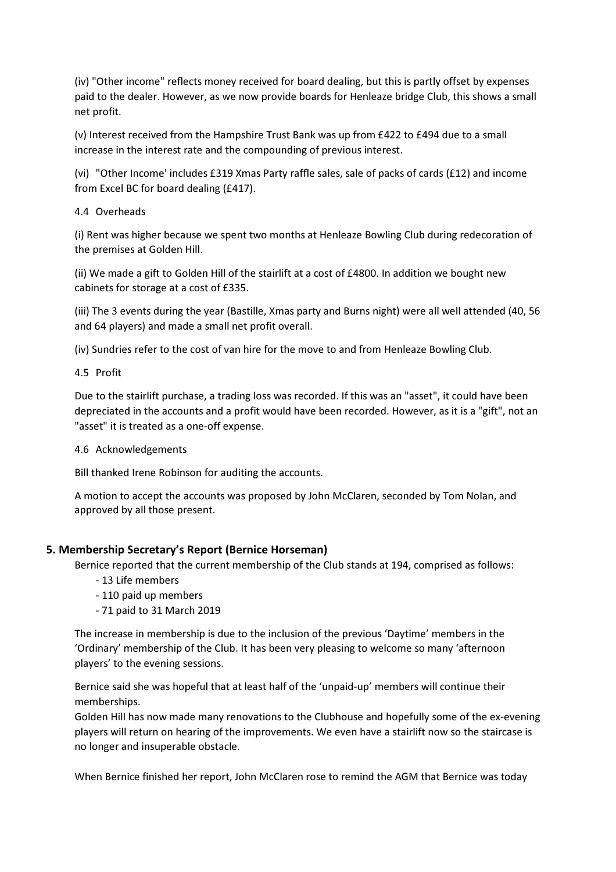(iv) "Other income" reflects money received for board dealing, but this is partly offset by expenses paid to the dealer. However, as we now provide boards for Henleaze bridge Club, this shows a small net profit.

 (v) Interest received from the Hampshire Trust Bank was up from £422 to £494 due to a small increase in the interest rate and the compounding of previous interest.

 (vi) "Other Income' includes £319 Xmas Party raffle sales, sale of packs of cards (£12) and income from Excel BC for board dealing (£417).

### 4.4 Overheads

 (i) Rent was higher because we spent two months at Henleaze Bowling Club during redecoration of the premises at Golden Hill.

 (ii) We made a gift to Golden Hill of the stairlift at a cost of £4800. In addition we bought new cabinets for storage at a cost of £335.

 (iii) The 3 events during the year (Bastille, Xmas party and Burns night) were all well attended (40, 56 and 64 players) and made a small net profit overall.

(iv) Sundries refer to the cost of van hire for the move to and from Henleaze Bowling Club.

4.5 Profit

Due to the stairlift purchase, a trading loss was recorded. If this was an "asset", it could have been depreciated in the accounts and a profit would have been recorded. However, as it is a "gift", not an "asset" it is treated as a one-off expense.

4.6 Acknowledgements

Bill thanked Irene Robinson for auditing the accounts.

A motion to accept the accounts was proposed by John McClaren, seconded by Tom Nolan, and approved by all those present.

#### 5. Membership Secretary's Report (Bernice Horseman)

Bernice reported that the current membership of the Club stands at 194, comprised as follows:

- 13 Life members
- 110 paid up members
- 71 paid to 31 March 2019

The increase in membership is due to the inclusion of the previous 'Daytime' members in the 'Ordinary' membership of the Club. It has been very pleasing to welcome so many 'afternoon players' to the evening sessions.

Bernice said she was hopeful that at least half of the 'unpaid-up' members will continue their memberships.

Golden Hill has now made many renovations to the Clubhouse and hopefully some of the ex-evening players will return on hearing of the improvements. We even have a stairlift now so the staircase is no longer and insuperable obstacle.

When Bernice finished her report, John McClaren rose to remind the AGM that Bernice was today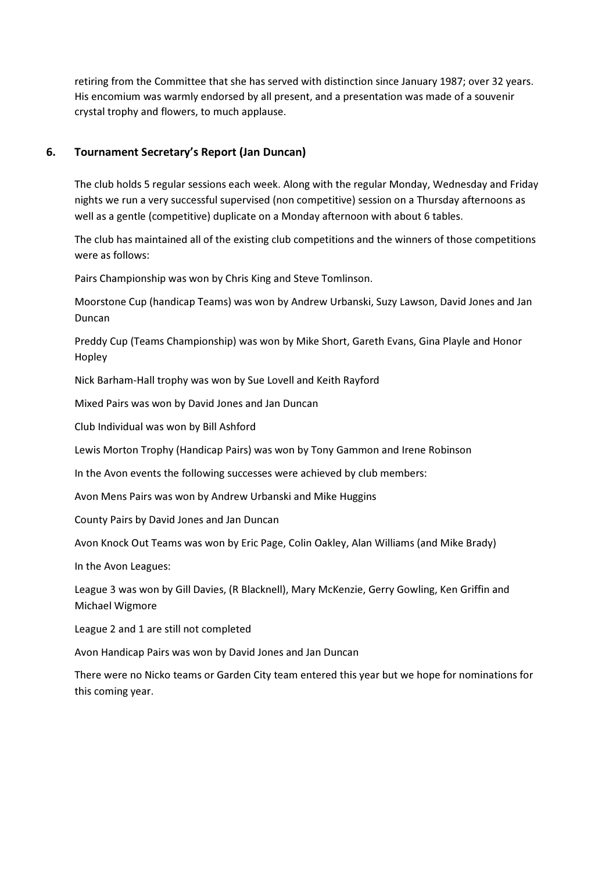retiring from the Committee that she has served with distinction since January 1987; over 32 years. His encomium was warmly endorsed by all present, and a presentation was made of a souvenir crystal trophy and flowers, to much applause.

## 6. Tournament Secretary's Report (Jan Duncan)

The club holds 5 regular sessions each week. Along with the regular Monday, Wednesday and Friday nights we run a very successful supervised (non competitive) session on a Thursday afternoons as well as a gentle (competitive) duplicate on a Monday afternoon with about 6 tables.

The club has maintained all of the existing club competitions and the winners of those competitions were as follows:

Pairs Championship was won by Chris King and Steve Tomlinson.

Moorstone Cup (handicap Teams) was won by Andrew Urbanski, Suzy Lawson, David Jones and Jan Duncan

Preddy Cup (Teams Championship) was won by Mike Short, Gareth Evans, Gina Playle and Honor Hopley

Nick Barham-Hall trophy was won by Sue Lovell and Keith Rayford

Mixed Pairs was won by David Jones and Jan Duncan

Club Individual was won by Bill Ashford

Lewis Morton Trophy (Handicap Pairs) was won by Tony Gammon and Irene Robinson

In the Avon events the following successes were achieved by club members:

Avon Mens Pairs was won by Andrew Urbanski and Mike Huggins

County Pairs by David Jones and Jan Duncan

Avon Knock Out Teams was won by Eric Page, Colin Oakley, Alan Williams (and Mike Brady)

In the Avon Leagues:

League 3 was won by Gill Davies, (R Blacknell), Mary McKenzie, Gerry Gowling, Ken Griffin and Michael Wigmore

League 2 and 1 are still not completed

Avon Handicap Pairs was won by David Jones and Jan Duncan

There were no Nicko teams or Garden City team entered this year but we hope for nominations for this coming year.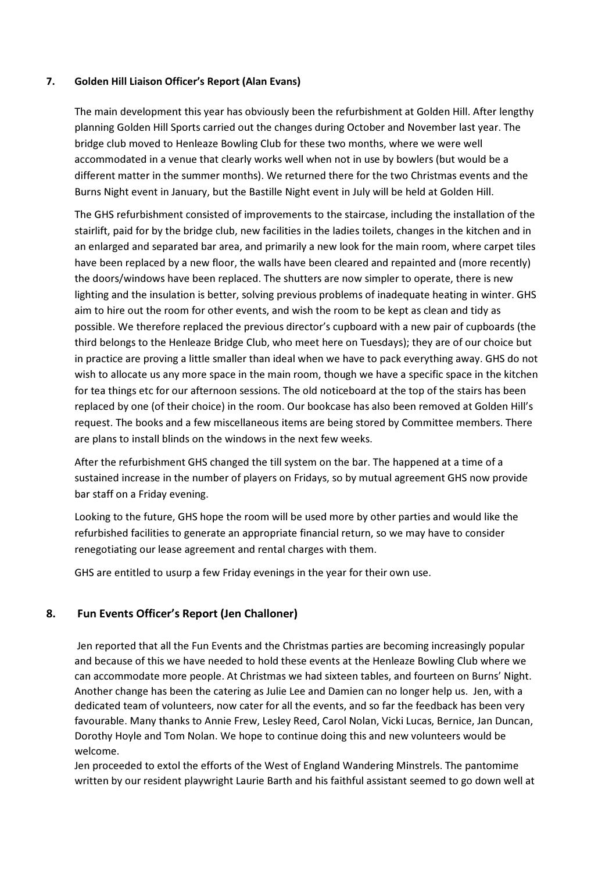#### 7. Golden Hill Liaison Officer's Report (Alan Evans)

The main development this year has obviously been the refurbishment at Golden Hill. After lengthy planning Golden Hill Sports carried out the changes during October and November last year. The bridge club moved to Henleaze Bowling Club for these two months, where we were well accommodated in a venue that clearly works well when not in use by bowlers (but would be a different matter in the summer months). We returned there for the two Christmas events and the Burns Night event in January, but the Bastille Night event in July will be held at Golden Hill.

The GHS refurbishment consisted of improvements to the staircase, including the installation of the stairlift, paid for by the bridge club, new facilities in the ladies toilets, changes in the kitchen and in an enlarged and separated bar area, and primarily a new look for the main room, where carpet tiles have been replaced by a new floor, the walls have been cleared and repainted and (more recently) the doors/windows have been replaced. The shutters are now simpler to operate, there is new lighting and the insulation is better, solving previous problems of inadequate heating in winter. GHS aim to hire out the room for other events, and wish the room to be kept as clean and tidy as possible. We therefore replaced the previous director's cupboard with a new pair of cupboards (the third belongs to the Henleaze Bridge Club, who meet here on Tuesdays); they are of our choice but in practice are proving a little smaller than ideal when we have to pack everything away. GHS do not wish to allocate us any more space in the main room, though we have a specific space in the kitchen for tea things etc for our afternoon sessions. The old noticeboard at the top of the stairs has been replaced by one (of their choice) in the room. Our bookcase has also been removed at Golden Hill's request. The books and a few miscellaneous items are being stored by Committee members. There are plans to install blinds on the windows in the next few weeks.

After the refurbishment GHS changed the till system on the bar. The happened at a time of a sustained increase in the number of players on Fridays, so by mutual agreement GHS now provide bar staff on a Friday evening.

Looking to the future, GHS hope the room will be used more by other parties and would like the refurbished facilities to generate an appropriate financial return, so we may have to consider renegotiating our lease agreement and rental charges with them.

GHS are entitled to usurp a few Friday evenings in the year for their own use.

# 8. Fun Events Officer's Report (Jen Challoner)

 Jen reported that all the Fun Events and the Christmas parties are becoming increasingly popular and because of this we have needed to hold these events at the Henleaze Bowling Club where we can accommodate more people. At Christmas we had sixteen tables, and fourteen on Burns' Night. Another change has been the catering as Julie Lee and Damien can no longer help us. Jen, with a dedicated team of volunteers, now cater for all the events, and so far the feedback has been very favourable. Many thanks to Annie Frew, Lesley Reed, Carol Nolan, Vicki Lucas, Bernice, Jan Duncan, Dorothy Hoyle and Tom Nolan. We hope to continue doing this and new volunteers would be welcome.

Jen proceeded to extol the efforts of the West of England Wandering Minstrels. The pantomime written by our resident playwright Laurie Barth and his faithful assistant seemed to go down well at